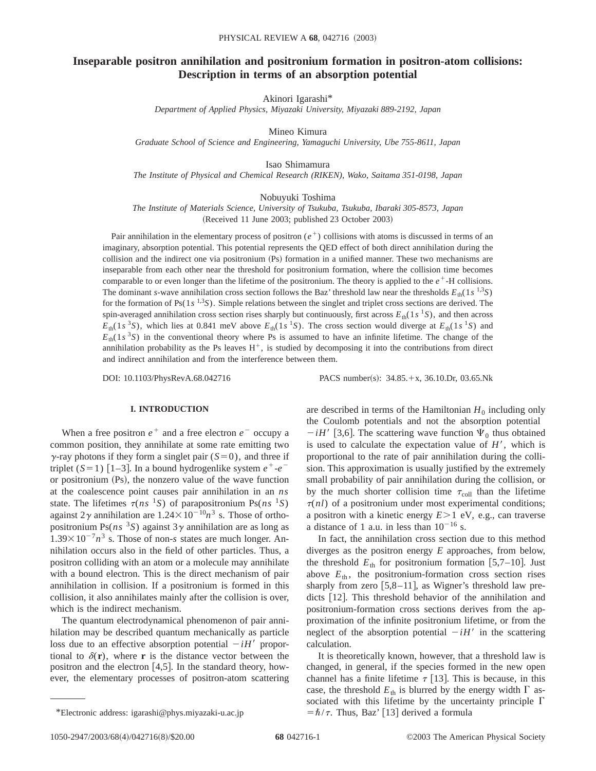# **Inseparable positron annihilation and positronium formation in positron-atom collisions: Description in terms of an absorption potential**

Akinori Igarashi\*

*Department of Applied Physics, Miyazaki University, Miyazaki 889-2192, Japan*

Mineo Kimura

*Graduate School of Science and Engineering, Yamaguchi University, Ube 755-8611, Japan*

Isao Shimamura

*The Institute of Physical and Chemical Research (RIKEN), Wako, Saitama 351-0198, Japan*

Nobuyuki Toshima

*The Institute of Materials Science, University of Tsukuba, Tsukuba, Ibaraki 305-8573, Japan* (Received 11 June 2003; published 23 October 2003)

Pair annihilation in the elementary process of positron  $(e^+)$  collisions with atoms is discussed in terms of an imaginary, absorption potential. This potential represents the QED effect of both direct annihilation during the collision and the indirect one via positronium (Ps) formation in a unified manner. These two mechanisms are inseparable from each other near the threshold for positronium formation, where the collision time becomes comparable to or even longer than the lifetime of the positronium. The theory is applied to the  $e^+$ -H collisions. The dominant *s*-wave annihilation cross section follows the Baz' threshold law near the thresholds  $E_{th}(1s^{1.3}S)$ for the formation of Ps(1*s* 1,3*S*). Simple relations between the singlet and triplet cross sections are derived. The spin-averaged annihilation cross section rises sharply but continuously, first across  $E_{th}(1s<sup>-1</sup>S)$ , and then across  $E_{th}(1s^{3}S)$ , which lies at 0.841 meV above  $E_{th}(1s^{1}S)$ . The cross section would diverge at  $E_{th}(1s^{1}S)$  and  $E_{th}(1s^3S)$  in the conventional theory where Ps is assumed to have an infinite lifetime. The change of the annihilation probability as the Ps leaves  $H^+$ , is studied by decomposing it into the contributions from direct and indirect annihilation and from the interference between them.

DOI: 10.1103/PhysRevA.68.042716 PACS number(s): 34.85.+x, 36.10.Dr, 03.65.Nk

# **I. INTRODUCTION**

When a free positron  $e^+$  and a free electron  $e^-$  occupy a common position, they annihilate at some rate emitting two  $\gamma$ -ray photons if they form a singlet pair ( $\delta$ =0), and three if triplet  $(S=1)$  [1–3]. In a bound hydrogenlike system  $e^+$ - $e^$ or positronium  $(Ps)$ , the nonzero value of the wave function at the coalescence point causes pair annihilation in an *ns* state. The lifetimes  $\tau(ns^{-1}S)$  of parapositronium Ps(*ns* <sup>1</sup>S) against  $2\gamma$  annihilation are  $1.24 \times 10^{-10} n^3$  s. Those of orthopositronium Ps( $ns<sup>3</sup>S$ ) against  $3\gamma$  annihilation are as long as  $1.39 \times 10^{-7} n^3$  s. Those of non-*s* states are much longer. Annihilation occurs also in the field of other particles. Thus, a positron colliding with an atom or a molecule may annihilate with a bound electron. This is the direct mechanism of pair annihilation in collision. If a positronium is formed in this collision, it also annihilates mainly after the collision is over, which is the indirect mechanism.

The quantum electrodynamical phenomenon of pair annihilation may be described quantum mechanically as particle loss due to an effective absorption potential  $-iH'$  proportional to  $\delta(\mathbf{r})$ , where **r** is the distance vector between the positron and the electron  $[4,5]$ . In the standard theory, however, the elementary processes of positron-atom scattering are described in terms of the Hamiltonian  $H_0$  including only the Coulomb potentials and not the absorption potential  $-iH'$  [3,6]. The scattering wave function  $\Psi_0$  thus obtained

is used to calculate the expectation value of  $H'$ , which is proportional to the rate of pair annihilation during the collision. This approximation is usually justified by the extremely small probability of pair annihilation during the collision, or by the much shorter collision time  $\tau_{\text{coll}}$  than the lifetime  $\tau(nl)$  of a positronium under most experimental conditions; a positron with a kinetic energy  $E > 1$  eV, e.g., can traverse a distance of 1 a.u. in less than  $10^{-16}$  s.

In fact, the annihilation cross section due to this method diverges as the positron energy *E* approaches, from below, the threshold  $E_{\text{th}}$  for positronium formation [5,7–10]. Just above  $E_{th}$ , the positronium-formation cross section rises sharply from zero  $[5,8-11]$ , as Wigner's threshold law predicts  $|12|$ . This threshold behavior of the annihilation and positronium-formation cross sections derives from the approximation of the infinite positronium lifetime, or from the neglect of the absorption potential  $-iH'$  in the scattering calculation.

It is theoretically known, however, that a threshold law is changed, in general, if the species formed in the new open channel has a finite lifetime  $\tau$  [13]. This is because, in this case, the threshold  $E_{th}$  is blurred by the energy width  $\Gamma$  associated with this lifetime by the uncertainty principle  $\Gamma$ \*Electronic address: igarashi@phys.miyazaki-u.ac.jp  $= \hbar / \tau$ . Thus, Baz' [13] derived a formula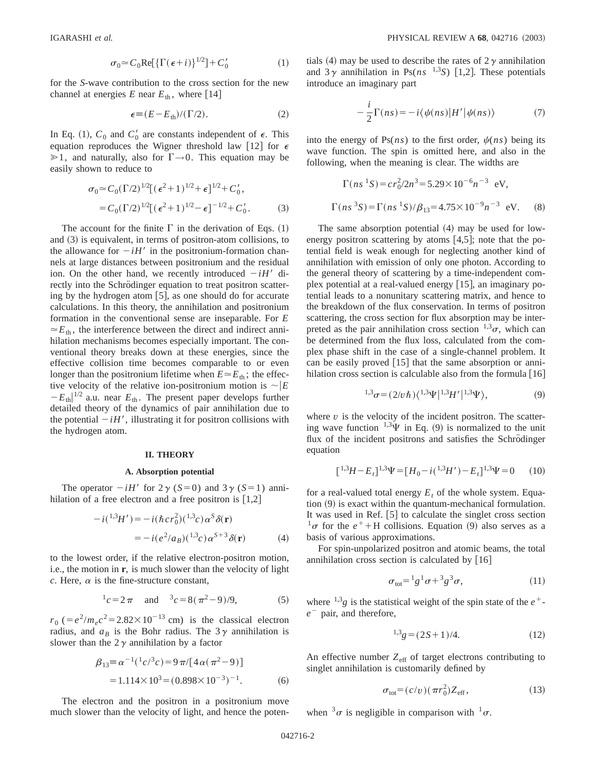$$
\sigma_0 \simeq C_0 \text{Re}[\{\Gamma(\epsilon + i)\}^{1/2}] + C'_0 \tag{1}
$$

for the *S*-wave contribution to the cross section for the new channel at energies  $E$  near  $E_{th}$ , where [14]

$$
\epsilon \equiv (E - E_{\text{th}}) / (\Gamma/2). \tag{2}
$$

In Eq. (1),  $C_0$  and  $C'_0$  are constants independent of  $\epsilon$ . This equation reproduces the Wigner threshold law [12] for  $\epsilon$  $\geq 1$ , and naturally, also for  $\Gamma \rightarrow 0$ . This equation may be easily shown to reduce to

$$
\sigma_0 \simeq C_0 (\Gamma/2)^{1/2} [(\epsilon^2 + 1)^{1/2} + \epsilon]^{1/2} + C'_0,
$$
  
=  $C_0 (\Gamma/2)^{1/2} [(\epsilon^2 + 1)^{1/2} - \epsilon]^{-1/2} + C'_0.$  (3)

The account for the finite  $\Gamma$  in the derivation of Eqs. (1) and  $(3)$  is equivalent, in terms of positron-atom collisions, to the allowance for  $-iH'$  in the positronium-formation channels at large distances between positronium and the residual ion. On the other hand, we recently introduced  $-iH'$  directly into the Schrödinger equation to treat positron scattering by the hydrogen atom  $[5]$ , as one should do for accurate calculations. In this theory, the annihilation and positronium formation in the conventional sense are inseparable. For *E*  $\simeq E_{\text{th}}$ , the interference between the direct and indirect annihilation mechanisms becomes especially important. The conventional theory breaks down at these energies, since the effective collision time becomes comparable to or even longer than the positronium lifetime when  $E \approx E_{th}$ ; the effective velocity of the relative ion-positronium motion is  $\sim$   $|E|$  $-E_{\text{th}}$ <sup>1/2</sup> a.u. near  $E_{\text{th}}$ . The present paper develops further detailed theory of the dynamics of pair annihilation due to the potential  $-iH'$ , illustrating it for positron collisions with the hydrogen atom.

## **II. THEORY**

#### **A. Absorption potential**

The operator  $-iH'$  for  $2\gamma$  (*S*=0) and  $3\gamma$  (*S*=1) annihilation of a free electron and a free positron is  $[1,2]$ 

$$
-i(^{1,3}H') = -i(\hbar c r_0^2)(^{1,3}c)\alpha^S \delta(\mathbf{r})
$$
  
= 
$$
-i(e^2/a_B)(^{1,3}c)\alpha^{S+3}\delta(\mathbf{r})
$$
 (4)

to the lowest order, if the relative electron-positron motion, i.e., the motion in **r**, is much slower than the velocity of light *c*. Here,  $\alpha$  is the fine-structure constant,

$$
{}^{1}c = 2\pi
$$
 and  ${}^{3}c = 8(\pi^{2} - 9)/9,$  (5)

 $r_0$  ( $=e^2/m_e c^2$ =2.82×10<sup>-13</sup> cm) is the classical electron radius, and  $a_B$  is the Bohr radius. The 3 $\gamma$  annihilation is slower than the  $2\gamma$  annihilation by a factor

$$
\beta_{13} \equiv \alpha^{-1}({}^{1}c/{}^{3}c) = 9\pi/[4\alpha(\pi^{2}-9)]
$$
  
= 1.114×10<sup>3</sup> = (0.898×10<sup>-3</sup>)<sup>-1</sup>. (6)

The electron and the positron in a positronium move much slower than the velocity of light, and hence the potentials (4) may be used to describe the rates of  $2\gamma$  annihilation and  $3\gamma$  annihilation in Ps( $ns$ <sup>1,3</sup>S) [1,2]. These potentials introduce an imaginary part

$$
-\frac{i}{2}\Gamma(ns) = -i\langle\psi(ns)|H'|\psi(ns)\rangle\tag{7}
$$

into the energy of Ps( $ns$ ) to the first order,  $\psi(ns)$  being its wave function. The spin is omitted here, and also in the following, when the meaning is clear. The widths are

$$
\Gamma(ns^1S) = cr_0^2/2n^3 = 5.29 \times 10^{-6}n^{-3} \text{ eV},
$$
  
 
$$
\Gamma(ns^3S) = \Gamma(ns^1S)/\beta_{13} = 4.75 \times 10^{-9}n^{-3} \text{ eV}.
$$
 (8)

The same absorption potential  $(4)$  may be used for lowenergy positron scattering by atoms  $[4,5]$ ; note that the potential field is weak enough for neglecting another kind of annihilation with emission of only one photon. According to the general theory of scattering by a time-independent complex potential at a real-valued energy  $[15]$ , an imaginary potential leads to a nonunitary scattering matrix, and hence to the breakdown of the flux conservation. In terms of positron scattering, the cross section for flux absorption may be interpreted as the pair annihilation cross section  $1,3\sigma$ , which can be determined from the flux loss, calculated from the complex phase shift in the case of a single-channel problem. It can be easily proved  $[15]$  that the same absorption or annihilation cross section is calculable also from the formula  $[16]$ 

$$
^{1,3}\sigma = (2/v\hbar)\langle ^{1,3}\Psi |^{1,3}H' |^{1,3}\Psi \rangle, \tag{9}
$$

where  $v$  is the velocity of the incident positron. The scattering wave function  $^{1,3}\Psi$  in Eq. (9) is normalized to the unit flux of the incident positrons and satisfies the Schrödinger equation

$$
[{}^{1,3}H - E_t]^{1,3}\Psi = [H_0 - i({}^{1,3}H') - E_t]^{1,3}\Psi = 0 \tag{10}
$$

for a real-valued total energy  $E_t$  of the whole system. Equa- $\tau$  tion  $(9)$  is exact within the quantum-mechanical formulation. It was used in Ref.  $[5]$  to calculate the singlet cross section  $\sigma$  for the  $e^+$ +H collisions. Equation (9) also serves as a basis of various approximations.

For spin-unpolarized positron and atomic beams, the total annihilation cross section is calculated by  $[16]$ 

$$
\sigma_{\text{tot}} = {}^{1}g^{1}\sigma + {}^{3}g^{3}\sigma,\tag{11}
$$

where  $^{1,3}g$  is the statistical weight of the spin state of the  $e^+$  $e^-$  pair, and therefore,

$$
{}^{1,3}g = (2S+1)/4.
$$
 (12)

An effective number  $Z_{\text{eff}}$  of target electrons contributing to singlet annihilation is customarily defined by

$$
\sigma_{\text{tot}} = (c/v)(\pi r_0^2) Z_{\text{eff}},\tag{13}
$$

when  $3\sigma$  is negligible in comparison with  $1\sigma$ .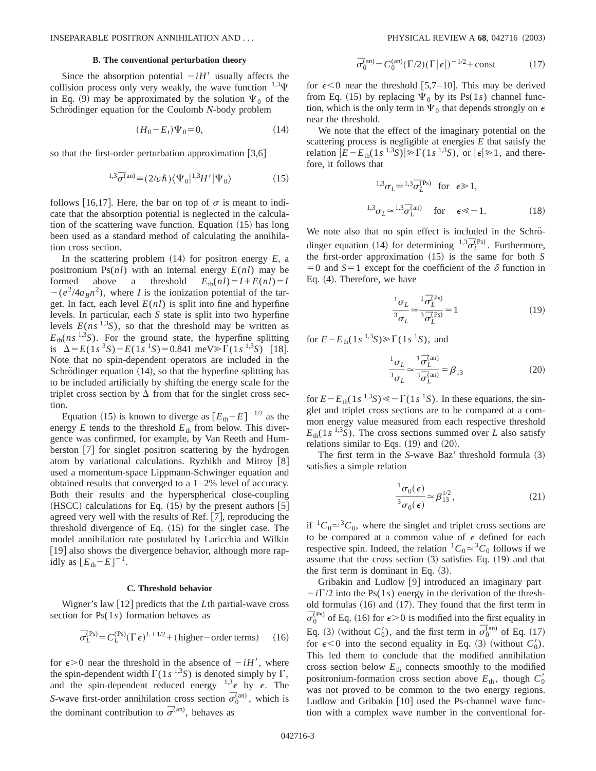#### **B. The conventional perturbation theory**

Since the absorption potential  $-iH'$  usually affects the collision process only very weakly, the wave function  $^{1,3}\Psi$ in Eq. (9) may be approximated by the solution  $\Psi_0$  of the Schrödinger equation for the Coulomb *N*-body problem

$$
(H_0 - E_t)\Psi_0 = 0,\t(14)
$$

so that the first-order perturbation approximation  $[3,6]$ 

$$
{}^{1,3}\overline{\sigma}^{(\text{an})} \equiv (2/v\hbar)\langle\Psi_0|{}^{1,3}H'|\Psi_0\rangle \tag{15}
$$

follows [16,17]. Here, the bar on top of  $\sigma$  is meant to indicate that the absorption potential is neglected in the calculation of the scattering wave function. Equation  $(15)$  has long been used as a standard method of calculating the annihilation cross section.

In the scattering problem  $(14)$  for positron energy  $E$ , a positronium  $Ps(nl)$  with an internal energy  $E(nl)$  may be formed above a threshold  $E_{th}(nl) = I + E(nl) = I$  $-(e^2/4a_Bn^2)$ , where *I* is the ionization potential of the target. In fact, each level  $E(nl)$  is split into fine and hyperfine levels. In particular, each *S* state is split into two hyperfine levels  $E(ns^{1,3}S)$ , so that the threshold may be written as  $E_{\text{th}}(ns^{1,3}S)$ . For the ground state, the hyperfine splitting is  $\Delta = E(1s^3S) - E(1s^1S) = 0.841$  meV $\sum \Gamma(1s^{1,3}S)$  [18]. Note that no spin-dependent operators are included in the Schrödinger equation  $(14)$ , so that the hyperfine splitting has to be included artificially by shifting the energy scale for the triplet cross section by  $\Delta$  from that for the singlet cross section.

Equation (15) is known to diverge as  $[E_{\text{th}}-E]^{-1/2}$  as the energy  $E$  tends to the threshold  $E_{\text{th}}$  from below. This divergence was confirmed, for example, by Van Reeth and Humberston [7] for singlet positron scattering by the hydrogen atom by variational calculations. Ryzhikh and Mitroy [8] used a momentum-space Lippmann-Schwinger equation and obtained results that converged to a 1–2% level of accuracy. Both their results and the hyperspherical close-coupling (HSCC) calculations for Eq.  $(15)$  by the present authors [5] agreed very well with the results of Ref.  $[7]$ , reproducing the threshold divergence of Eq.  $(15)$  for the singlet case. The model annihilation rate postulated by Laricchia and Wilkin [19] also shows the divergence behavior, although more rapidly as  $[E_{\text{th}}-E]^{-1}$ .

## **C. Threshold behavior**

Wigner's law [12] predicts that the *L*th partial-wave cross section for Ps(1*s*) formation behaves as

$$
\bar{\sigma}_L^{(Ps)} = C_L^{(Ps)} (\Gamma \epsilon)^{L+1/2} + \text{(higher-order terms)} \qquad (16)
$$

for  $\epsilon > 0$  near the threshold in the absence of  $-iH'$ , where the spin-dependent width  $\Gamma(1s^{1,3}S)$  is denoted simply by  $\Gamma$ , and the spin-dependent reduced energy  $^{1,3}\epsilon$  by  $\epsilon$ . The *S*-wave first-order annihilation cross section  $\bar{\sigma}_0^{\text{(an)}}$ , which is the dominant contribution to  $\bar{\sigma}^{(an)}$ , behaves as

$$
\overline{\sigma}_0^{\text{(an)}} = C_0^{\text{(an)}} (\Gamma/2) (\Gamma |\epsilon|)^{-1/2} + \text{const}
$$
 (17)

for  $\epsilon$ <0 near the threshold [5,7–10]. This may be derived from Eq. (15) by replacing  $\Psi_0$  by its Ps(1*s*) channel function, which is the only term in  $\Psi_0$  that depends strongly on  $\epsilon$ near the threshold.

We note that the effect of the imaginary potential on the scattering process is negligible at energies *E* that satisfy the relation  $|E-E_{\text{th}}(1s^{1,3}S)| \ge \Gamma(1s^{1,3}S)$ , or  $|\epsilon| \ge 1$ , and therefore, it follows that

$$
{}^{1,3}\sigma_L \simeq {}^{1,3}\overline{\sigma}_L^{(Ps)} \quad \text{for } \epsilon \ge 1,
$$
  

$$
{}^{1,3}\sigma_L \simeq {}^{1,3}\overline{\sigma}_L^{(an)} \quad \text{for } \epsilon \ll -1.
$$
 (18)

We note also that no spin effect is included in the Schrödinger equation (14) for determining  $^{1,3}$  $\overline{\sigma}_{L}^{(Ps)}$ . Furthermore, the first-order approximation  $(15)$  is the same for both *S*  $=0$  and  $S=1$  except for the coefficient of the  $\delta$  function in Eq.  $(4)$ . Therefore, we have

$$
\frac{1_{\sigma_L}}{3_{\sigma_L}} \approx \frac{1_{\sigma_L}^{(\text{Ps})}}{3_{\sigma_L}^{(\text{Ps})}} = 1
$$
\n(19)

for  $E - E_{\text{th}}(1s^{1,3}S) \ge \Gamma(1s^{1}S)$ , and

$$
\frac{^{1}\sigma_{L}}{^{3}\sigma_{L}} \approx \frac{^{1}\bar{\sigma}_{L}^{(\text{an})}}{^{3}\bar{\sigma}_{L}^{(\text{an})}} = \beta_{13}
$$
 (20)

for  $E - E_{th}(1s^{-1.3}S) \ll -\Gamma(1s^{-1}S)$ . In these equations, the singlet and triplet cross sections are to be compared at a common energy value measured from each respective threshold  $E_{\text{th}}(1s^{1,3}S)$ . The cross sections summed over *L* also satisfy relations similar to Eqs.  $(19)$  and  $(20)$ .

The first term in the *S*-wave Baz' threshold formula (3) satisfies a simple relation

$$
\frac{{}^{1}\sigma_{0}(\epsilon)}{{}^{3}\sigma_{0}(\epsilon)} \simeq \beta_{13}^{1/2},\qquad(21)
$$

if  ${}^{1}C_{0} \approx {}^{3}C_{0}$ , where the singlet and triplet cross sections are to be compared at a common value of  $\epsilon$  defined for each respective spin. Indeed, the relation  ${}^{1}C_0 \simeq {}^{3}C_0$  follows if we assume that the cross section  $(3)$  satisfies Eq.  $(19)$  and that the first term is dominant in Eq.  $(3)$ .

Gribakin and Ludlow  $[9]$  introduced an imaginary part  $-i\Gamma/2$  into the Ps(1*s*) energy in the derivation of the threshold formulas  $(16)$  and  $(17)$ . They found that the first term in  $\bar{\sigma}_0^{\text{(Ps)}}$  of Eq. (16) for  $\epsilon > 0$  is modified into the first equality in Eq. (3) (without  $C'_0$ ), and the first term in  $\overline{\sigma}_0^{(\text{an})}$  of Eq. (17) for  $\epsilon < 0$  into the second equality in Eq. (3) (without  $C'_0$ ). This led them to conclude that the modified annihilation cross section below  $E_{\text{th}}$  connects smoothly to the modified positronium-formation cross section above  $E_{th}$ , though  $C'_0$ was not proved to be common to the two energy regions. Ludlow and Gribakin  $[10]$  used the Ps-channel wave function with a complex wave number in the conventional for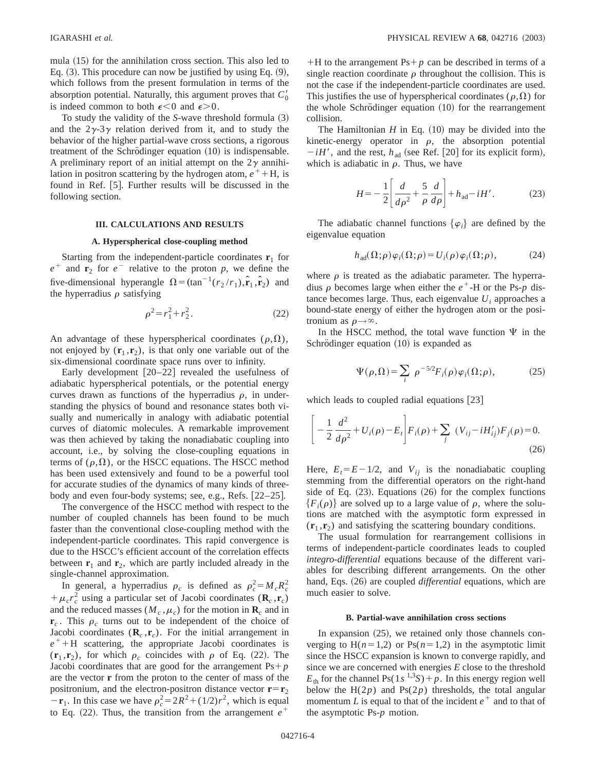mula  $(15)$  for the annihilation cross section. This also led to Eq.  $(3)$ . This procedure can now be justified by using Eq.  $(9)$ , which follows from the present formulation in terms of the absorption potential. Naturally, this argument proves that  $C'_0$ is indeed common to both  $\epsilon < 0$  and  $\epsilon > 0$ .

To study the validity of the *S*-wave threshold formula (3) and the  $2\gamma - 3\gamma$  relation derived from it, and to study the behavior of the higher partial-wave cross sections, a rigorous treatment of the Schrödinger equation  $(10)$  is indispensable. A preliminary report of an initial attempt on the  $2\gamma$  annihilation in positron scattering by the hydrogen atom,  $e^+ + H$ , is found in Ref. [5]. Further results will be discussed in the following section.

## **III. CALCULATIONS AND RESULTS**

## **A. Hyperspherical close-coupling method**

Starting from the independent-particle coordinates  $\mathbf{r}_1$  for  $e^+$  and **r**<sub>2</sub> for  $e^-$  relative to the proton *p*, we define the five-dimensional hyperangle  $\Omega = (\tan^{-1}(r_2 / r_1), \hat{r}_1, \hat{r}_2)$  and the hyperradius  $\rho$  satisfying

$$
\rho^2 = r_1^2 + r_2^2. \tag{22}
$$

An advantage of these hyperspherical coordinates  $(\rho,\Omega)$ , not enjoyed by  $(\mathbf{r}_1, \mathbf{r}_2)$ , is that only one variable out of the six-dimensional coordinate space runs over to infinity.

Early development  $[20-22]$  revealed the usefulness of adiabatic hyperspherical potentials, or the potential energy curves drawn as functions of the hyperradius  $\rho$ , in understanding the physics of bound and resonance states both visually and numerically in analogy with adiabatic potential curves of diatomic molecules. A remarkable improvement was then achieved by taking the nonadiabatic coupling into account, i.e., by solving the close-coupling equations in terms of  $(\rho,\Omega)$ , or the HSCC equations. The HSCC method has been used extensively and found to be a powerful tool for accurate studies of the dynamics of many kinds of threebody and even four-body systems; see, e.g., Refs.  $[22-25]$ .

The convergence of the HSCC method with respect to the number of coupled channels has been found to be much faster than the conventional close-coupling method with the independent-particle coordinates. This rapid convergence is due to the HSCC's efficient account of the correlation effects between  $\mathbf{r}_1$  and  $\mathbf{r}_2$ , which are partly included already in the single-channel approximation.

In general, a hyperradius  $\rho_c$  is defined as  $\rho_c^2 = M_c R_c^2$  $+\mu_c r_c^2$  using a particular set of Jacobi coordinates (**R**<sub>*c*</sub>,**r**<sub>*c*</sub>) and the reduced masses  $(M_c, \mu_c)$  for the motion in  $\mathbf{R}_c$  and in  $\mathbf{r}_c$ . This  $\rho_c$  turns out to be independent of the choice of Jacobi coordinates  $(\mathbf{R}_c, \mathbf{r}_c)$ . For the initial arrangement in  $e^+$ +H scattering, the appropriate Jacobi coordinates is  $(\mathbf{r}_1, \mathbf{r}_2)$ , for which  $\rho_c$  coincides with  $\rho$  of Eq. (22). The Jacobi coordinates that are good for the arrangement  $Ps+p$ are the vector **r** from the proton to the center of mass of the positronium, and the electron-positron distance vector  $\mathbf{r} = \mathbf{r}_2$  $-\mathbf{r}_1$ . In this case we have  $\rho_c^2 = 2R^2 + (1/2)r^2$ , which is equal to Eq. (22). Thus, the transition from the arrangement  $e^+$ 

 $+H$  to the arrangement Ps $+p$  can be described in terms of a single reaction coordinate  $\rho$  throughout the collision. This is not the case if the independent-particle coordinates are used. This justifies the use of hyperspherical coordinates ( $\rho,\Omega$ ) for the whole Schrödinger equation  $(10)$  for the rearrangement collision.

The Hamiltonian  $H$  in Eq.  $(10)$  may be divided into the kinetic-energy operator in  $\rho$ , the absorption potential  $-iH'$ , and the rest,  $h_{ad}$  (see Ref. [20] for its explicit form), which is adiabatic in  $\rho$ . Thus, we have

$$
H = -\frac{1}{2} \left[ \frac{d}{d\rho^2} + \frac{5}{\rho} \frac{d}{d\rho} \right] + h_{\text{ad}} - iH'.
$$
 (23)

The adiabatic channel functions  $\{\varphi_i\}$  are defined by the eigenvalue equation

$$
h_{\text{ad}}(\Omega;\rho)\varphi_i(\Omega;\rho) = U_i(\rho)\varphi_i(\Omega;\rho),\tag{24}
$$

where  $\rho$  is treated as the adiabatic parameter. The hyperradius  $\rho$  becomes large when either the  $e^+$ -H or the Ps- $p$  distance becomes large. Thus, each eigenvalue  $U_i$  approaches a bound-state energy of either the hydrogen atom or the positronium as  $\rho \rightarrow \infty$ .

In the HSCC method, the total wave function  $\Psi$  in the Schrödinger equation  $(10)$  is expanded as

$$
\Psi(\rho,\Omega) = \sum_{i} \rho^{-5/2} F_i(\rho) \varphi_i(\Omega;\rho), \qquad (25)
$$

which leads to coupled radial equations  $[23]$ 

$$
\left[ -\frac{1}{2} \frac{d^2}{d\rho^2} + U_i(\rho) - E_t \right] F_i(\rho) + \sum_j \left( V_{ij} - i H'_{ij} \right) F_j(\rho) = 0.
$$
\n(26)

Here,  $E_t = E - 1/2$ , and  $V_{ij}$  is the nonadiabatic coupling stemming from the differential operators on the right-hand side of Eq.  $(23)$ . Equations  $(26)$  for the complex functions  ${F_i(\rho)}$  are solved up to a large value of  $\rho$ , where the solutions are matched with the asymptotic form expressed in  $(\mathbf{r}_1, \mathbf{r}_2)$  and satisfying the scattering boundary conditions.

The usual formulation for rearrangement collisions in terms of independent-particle coordinates leads to coupled *integro-differential* equations because of the different variables for describing different arrangements. On the other hand, Eqs.  $(26)$  are coupled *differential* equations, which are much easier to solve.

#### **B. Partial-wave annihilation cross sections**

In expansion  $(25)$ , we retained only those channels converging to  $H(n=1,2)$  or  $Ps(n=1,2)$  in the asymptotic limit since the HSCC expansion is known to converge rapidly, and since we are concerned with energies *E* close to the threshold  $E_{\text{th}}$  for the channel Ps(1*s*<sup>1,3</sup>*S*) + *p*. In this energy region well below the  $H(2p)$  and  $Ps(2p)$  thresholds, the total angular momentum *L* is equal to that of the incident  $e^+$  and to that of the asymptotic Ps-*p* motion.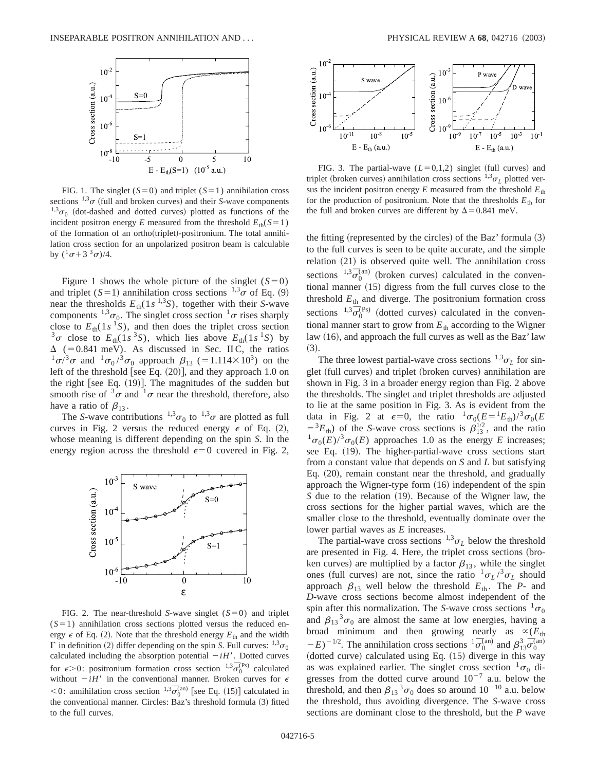

FIG. 1. The singlet  $(S=0)$  and triplet  $(S=1)$  annihilation cross sections  $^{1,3}\sigma$  (full and broken curves) and their *S*-wave components  $^{1,3}\sigma_0$  (dot-dashed and dotted curves) plotted as functions of the incident positron energy *E* measured from the threshold  $E_{th}(S=1)$ of the formation of an ortho(triplet)-positronium. The total annihilation cross section for an unpolarized positron beam is calculable by  $({}^{1}\sigma+3\, {}^{3}\sigma)/4$ .

Figure 1 shows the whole picture of the singlet  $(S=0)$ and triplet  $(S=1)$  annihilation cross sections  $^{1,3}$  of Eq. (9) near the thresholds  $E_{\text{th}}(1s^{1,3}S)$ , together with their *S*-wave components <sup>1,3</sup> $\sigma_0$ . The singlet cross section <sup>1</sup> $\sigma$  rises sharply close to  $E_{\text{th}}(1s^1S)$ , and then does the triplet cross section  $3\sigma$  close to  $E_{th}(1s^3S)$ , which lies above  $E_{th}(1s^1S)$  by  $\Delta$  (=0.841 meV). As discussed in Sec. II C, the ratios  $^{1} \sigma /^{3} \sigma$  and  $^{1} \sigma_{0} /^{3} \sigma_{0}$  approach  $\beta_{13}$  (=1.114×10<sup>3</sup>) on the left of the threshold [see Eq.  $(20)$ ], and they approach 1.0 on the right [see Eq.  $(19)$ ]. The magnitudes of the sudden but smooth rise of  $3\sigma$  and  $1\sigma$  near the threshold, therefore, also have a ratio of  $\beta_{13}$ .

The *S*-wave contributions  $^{1,3}\sigma_0$  to  $^{1,3}\sigma$  are plotted as full curves in Fig. 2 versus the reduced energy  $\epsilon$  of Eq. (2), whose meaning is different depending on the spin *S*. In the energy region across the threshold  $\epsilon=0$  covered in Fig. 2,



FIG. 2. The near-threshold *S*-wave singlet  $(S=0)$  and triplet  $(S=1)$  annihilation cross sections plotted versus the reduced energy  $\epsilon$  of Eq. (2). Note that the threshold energy  $E_{th}$  and the width  $\Gamma$  in definition (2) differ depending on the spin *S*. Full curves:  $^{1,3}\sigma_0$ calculated including the absorption potential  $-iH'$ . Dotted curves for  $\epsilon > 0$ : positronium formation cross section <sup>1,3</sup> $\sigma_0^{(Ps)}$  calculated without  $-iH'$  in the conventional manner. Broken curves for  $\epsilon$  $<$ 0: annihilation cross section <sup>1,3</sup> $\sigma_0^{\text{(an)}}$  [see Eq. (15)] calculated in the conventional manner. Circles: Baz's threshold formula (3) fitted to the full curves.



FIG. 3. The partial-wave  $(L=0,1,2)$  singlet (full curves) and triplet (broken curves) annihilation cross sections  $^{1,3}\sigma$ <sub>L</sub> plotted versus the incident positron energy  $E$  measured from the threshold  $E_{th}$ for the production of positronium. Note that the thresholds  $E_{th}$  for the full and broken curves are different by  $\Delta$  = 0.841 meV.

the fitting (represented by the circles) of the Baz' formula  $(3)$ to the full curves is seen to be quite accurate, and the simple relation  $(21)$  is observed quite well. The annihilation cross sections  $1,3\sigma_0^{(an)}$  (broken curves) calculated in the conventional manner  $(15)$  digress from the full curves close to the threshold  $E_{th}$  and diverge. The positronium formation cross sections  ${}^{1,3}$  $\overline{\sigma}_0^{(Ps)}$  (dotted curves) calculated in the conventional manner start to grow from  $E_{th}$  according to the Wigner law  $(16)$ , and approach the full curves as well as the Baz' law  $(3).$ 

The three lowest partial-wave cross sections  $^{1,3}\sigma_L$  for singlet (full curves) and triplet (broken curves) annihilation are shown in Fig. 3 in a broader energy region than Fig. 2 above the thresholds. The singlet and triplet thresholds are adjusted to lie at the same position in Fig. 3. As is evident from the data in Fig. 2 at  $\epsilon=0$ , the ratio  ${}^1\sigma_0(E={}^1E_{th})/{}^3\sigma_0(E$  $= {}^3E_{\text{th}}$ ) of the *S*-wave cross sections is  $\beta_{13}^{1/2}$ , and the ratio  $\sigma_0(E)^3 \sigma_0(E)$  approaches 1.0 as the energy *E* increases; see Eq. (19). The higher-partial-wave cross sections start from a constant value that depends on *S* and *L* but satisfying Eq.  $(20)$ , remain constant near the threshold, and gradually approach the Wigner-type form  $(16)$  independent of the spin *S* due to the relation (19). Because of the Wigner law, the cross sections for the higher partial waves, which are the smaller close to the threshold, eventually dominate over the lower partial waves as *E* increases.

The partial-wave cross sections  $^{1,3}\sigma_L$  below the threshold are presented in Fig. 4. Here, the triplet cross sections (broken curves) are multiplied by a factor  $\beta_{13}$ , while the singlet ones (full curves) are not, since the ratio  $\frac{1}{\sigma_L}$  / $\frac{3}{\sigma_L}$  should approach  $\beta_{13}$  well below the threshold  $E_{th}$ . The *P*- and *D*-wave cross sections become almost independent of the spin after this normalization. The *S*-wave cross sections  ${}^{1}\sigma_0$ and  $\beta_{13}{}^3\sigma_0$  are almost the same at low energies, having a broad minimum and then growing nearly as  $\propto$ ( $E_{\text{th}}$ )  $(E-E)^{-1/2}$ . The annihilation cross sections  ${}^{1} \bar{\sigma}_{0}^{(\text{an})}$  and  $\beta_{13}^{3} \bar{\sigma}_{0}^{(\text{an})}$  $($ dotted curve $)$  calculated using Eq.  $(15)$  diverge in this way as was explained earlier. The singlet cross section  ${}^{1}\sigma_0$  digresses from the dotted curve around  $10^{-7}$  a.u. below the threshold, and then  $\beta_{13}{}^3\sigma_0$  does so around  $10^{-10}$  a.u. below the threshold, thus avoiding divergence. The *S*-wave cross sections are dominant close to the threshold, but the *P* wave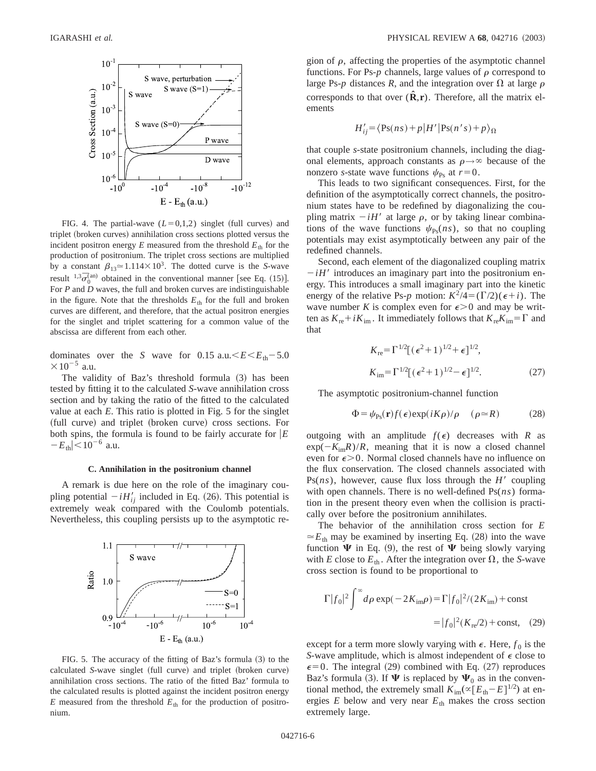

FIG. 4. The partial-wave  $(L=0,1,2)$  singlet (full curves) and triplet (broken curves) annihilation cross sections plotted versus the incident positron energy  $E$  measured from the threshold  $E_{th}$  for the production of positronium. The triplet cross sections are multiplied by a constant  $\beta_{13} \approx 1.114 \times 10^3$ . The dotted curve is the *S*-wave result  $^{1,3}\bar{\sigma}_0^{\text{(an)}}$  obtained in the conventional manner [see Eq. (15)]. For *P* and *D* waves, the full and broken curves are indistinguishable in the figure. Note that the thresholds  $E_{th}$  for the full and broken curves are different, and therefore, that the actual positron energies for the singlet and triplet scattering for a common value of the abscissa are different from each other.

dominates over the *S* wave for 0.15 a.u. $\leq E \leq E_{\text{th}}-5.0$  $\times 10^{-5}$  a.u.

The validity of Baz's threshold formula (3) has been tested by fitting it to the calculated *S*-wave annihilation cross section and by taking the ratio of the fitted to the calculated value at each *E*. This ratio is plotted in Fig. 5 for the singlet (full curve) and triplet (broken curve) cross sections. For both spins, the formula is found to be fairly accurate for  $|E|$  $-E_{\text{th}}$   $|<$  10<sup>-6</sup> a.u.

#### **C. Annihilation in the positronium channel**

A remark is due here on the role of the imaginary coupling potential  $-iH'_{ii}$  included in Eq. (26). This potential is extremely weak compared with the Coulomb potentials. Nevertheless, this coupling persists up to the asymptotic re-



FIG. 5. The accuracy of the fitting of Baz's formula  $(3)$  to the calculated *S*-wave singlet (full curve) and triplet (broken curve) annihilation cross sections. The ratio of the fitted Baz' formula to the calculated results is plotted against the incident positron energy *E* measured from the threshold  $E<sub>th</sub>$  for the production of positronium.

gion of  $\rho$ , affecting the properties of the asymptotic channel functions. For Ps- $p$  channels, large values of  $\rho$  correspond to large Ps-*p* distances *R*, and the integration over  $\Omega$  at large  $\rho$ corresponds to that over  $(\hat{\mathbf{R}}, \mathbf{r})$ . Therefore, all the matrix elements

$$
H'_{ij} = \langle \text{Ps}(ns) + p | H' | \text{Ps}(n's) + p \rangle_{\Omega}
$$

that couple *s*-state positronium channels, including the diagonal elements, approach constants as  $\rho \rightarrow \infty$  because of the nonzero *s*-state wave functions  $\psi_{\text{Ps}}$  at  $r=0$ .

This leads to two significant consequences. First, for the definition of the asymptotically correct channels, the positronium states have to be redefined by diagonalizing the coupling matrix  $-iH'$  at large  $\rho$ , or by taking linear combinations of the wave functions  $\psi_{\text{Ps}}(ns)$ , so that no coupling potentials may exist asymptotically between any pair of the redefined channels.

Second, each element of the diagonalized coupling matrix  $-iH'$  introduces an imaginary part into the positronium energy. This introduces a small imaginary part into the kinetic energy of the relative Ps-*p* motion:  $K^2/4 = (\Gamma/2)(\epsilon + i)$ . The wave number *K* is complex even for  $\epsilon > 0$  and may be written as  $K_{\text{re}}+iK_{\text{im}}$ . It immediately follows that  $K_{\text{re}}K_{\text{im}}=\Gamma$  and that

$$
K_{\rm re} = \Gamma^{1/2} [(\epsilon^2 + 1)^{1/2} + \epsilon]^{1/2},
$$
  
\n
$$
K_{\rm im} = \Gamma^{1/2} [(\epsilon^2 + 1)^{1/2} - \epsilon]^{1/2}.
$$
 (27)

The asymptotic positronium-channel function

$$
\Phi = \psi_{\text{Ps}}(\mathbf{r}) f(\epsilon) \exp(iK\rho) / \rho \quad (\rho \simeq R) \tag{28}
$$

outgoing with an amplitude  $f(\epsilon)$  decreases with *R* as  $\exp(-K_{im}R)/R$ , meaning that it is now a closed channel even for  $\epsilon > 0$ . Normal closed channels have no influence on the flux conservation. The closed channels associated with Ps $(ns)$ , however, cause flux loss through the *H'* coupling with open channels. There is no well-defined Ps(*ns*) formation in the present theory even when the collision is practically over before the positronium annihilates.

The behavior of the annihilation cross section for *E*  $\approx E_{\text{th}}$  may be examined by inserting Eq. (28) into the wave function  $\Psi$  in Eq. (9), the rest of  $\Psi$  being slowly varying with *E* close to  $E_{th}$ . After the integration over  $\Omega$ , the *S*-wave cross section is found to be proportional to

$$
\Gamma |f_0|^2 \int^{\infty} d\rho \exp(-2K_{\rm im}\rho) = \Gamma |f_0|^2 / (2K_{\rm im}) + \text{const}
$$

$$
= |f_0|^2 (K_{\rm re}/2) + \text{const}, \quad (29)
$$

except for a term more slowly varying with  $\epsilon$ . Here,  $f_0$  is the *S*-wave amplitude, which is almost independent of  $\epsilon$  close to  $\epsilon$ =0. The integral (29) combined with Eq. (27) reproduces Baz's formula (3). If  $\Psi$  is replaced by  $\Psi_0$  as in the conventional method, the extremely small  $K_{\text{im}}(\propto [E_{\text{th}}-E]^{1/2})$  at energies  $E$  below and very near  $E_{th}$  makes the cross section extremely large.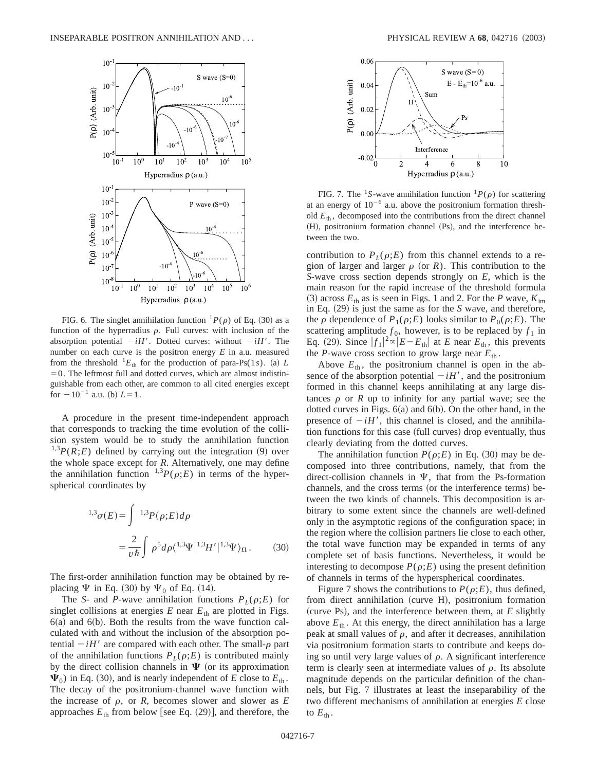

FIG. 6. The singlet annihilation function  ${}^{1}P(\rho)$  of Eq. (30) as a function of the hyperradius  $\rho$ . Full curves: with inclusion of the absorption potential  $-iH'$ . Dotted curves: without  $-iH'$ . The number on each curve is the positron energy *E* in a.u. measured from the threshold  ${}^{1}E_{\text{th}}$  for the production of para-Ps(1*s*). (a) *L*  $=0$ . The leftmost full and dotted curves, which are almost indistinguishable from each other, are common to all cited energies except for  $-10^{-1}$  a.u. (b)  $L=1$ .

A procedure in the present time-independent approach that corresponds to tracking the time evolution of the collision system would be to study the annihilation function  $^{1,3}P(R;E)$  defined by carrying out the integration (9) over the whole space except for *R*. Alternatively, one may define the annihilation function  $^{1,3}P(\rho;E)$  in terms of the hyperspherical coordinates by

$$
^{1,3}\sigma(E) = \int ^{1,3}P(\rho;E)d\rho
$$

$$
= \frac{2}{v\hbar} \int \rho^5 d\rho \langle ^{1,3}\Psi |^{1,3}H' |^{1,3}\Psi \rangle_{\Omega}. \tag{30}
$$

The first-order annihilation function may be obtained by replacing  $\Psi$  in Eq. (30) by  $\Psi_0$  of Eq. (14).

The *S*- and *P*-wave annihilation functions  $P_L(\rho;E)$  for singlet collisions at energies  $E$  near  $E_{th}$  are plotted in Figs.  $6(a)$  and  $6(b)$ . Both the results from the wave function calculated with and without the inclusion of the absorption potential  $-iH'$  are compared with each other. The small- $\rho$  part of the annihilation functions  $P_L(\rho;E)$  is contributed mainly by the direct collision channels in  $\Psi$  (or its approximation  $\Psi_0$ ) in Eq. (30), and is nearly independent of *E* close to  $E_{th}$ . The decay of the positronium-channel wave function with the increase of  $\rho$ , or  $R$ , becomes slower and slower as  $E$ approaches  $E_{\text{th}}$  from below [see Eq. (29)], and therefore, the



FIG. 7. The <sup>1</sup>S-wave annihilation function  ${}^{1}P(\rho)$  for scattering at an energy of  $10^{-6}$  a.u. above the positronium formation threshold  $E_{th}$ , decomposed into the contributions from the direct channel (H), positronium formation channel (Ps), and the interference between the two.

contribution to  $P_L(\rho;E)$  from this channel extends to a region of larger and larger  $\rho$  (or *R*). This contribution to the *S*-wave cross section depends strongly on *E*, which is the main reason for the rapid increase of the threshold formula  $(3)$  across  $E_{\text{th}}$  as is seen in Figs. 1 and 2. For the *P* wave,  $K_{\text{im}}$ in Eq. (29) is just the same as for the *S* wave, and therefore, the  $\rho$  dependence of  $P_1(\rho;E)$  looks similar to  $P_0(\rho;E)$ . The scattering amplitude  $f_0$ , however, is to be replaced by  $f_1$  in Eq. (29). Since  $|f_1|^2 \propto |E - E_{th}|$  at *E* near  $E_{th}$ , this prevents the *P*-wave cross section to grow large near  $E_{th}$ .

Above  $E_{th}$ , the positronium channel is open in the absence of the absorption potential  $-iH'$ , and the positronium formed in this channel keeps annihilating at any large distances  $\rho$  or  $R$  up to infinity for any partial wave; see the dotted curves in Figs.  $6(a)$  and  $6(b)$ . On the other hand, in the presence of  $-iH'$ , this channel is closed, and the annihilation functions for this case (full curves) drop eventually, thus clearly deviating from the dotted curves.

The annihilation function  $P(\rho;E)$  in Eq. (30) may be decomposed into three contributions, namely, that from the direct-collision channels in  $\Psi$ , that from the Ps-formation channels, and the cross terms (or the interference terms) between the two kinds of channels. This decomposition is arbitrary to some extent since the channels are well-defined only in the asymptotic regions of the configuration space; in the region where the collision partners lie close to each other, the total wave function may be expanded in terms of any complete set of basis functions. Nevertheless, it would be interesting to decompose  $P(\rho;E)$  using the present definition of channels in terms of the hyperspherical coordinates.

Figure 7 shows the contributions to  $P(\rho;E)$ , thus defined, from direct annihilation (curve  $H$ ), positronium formation (curve Ps), and the interference between them, at  $E$  slightly above  $E_{th}$ . At this energy, the direct annihilation has a large peak at small values of  $\rho$ , and after it decreases, annihilation via positronium formation starts to contribute and keeps doing so until very large values of  $\rho$ . A significant interference term is clearly seen at intermediate values of  $\rho$ . Its absolute magnitude depends on the particular definition of the channels, but Fig. 7 illustrates at least the inseparability of the two different mechanisms of annihilation at energies *E* close to  $E_{\text{th}}$ .